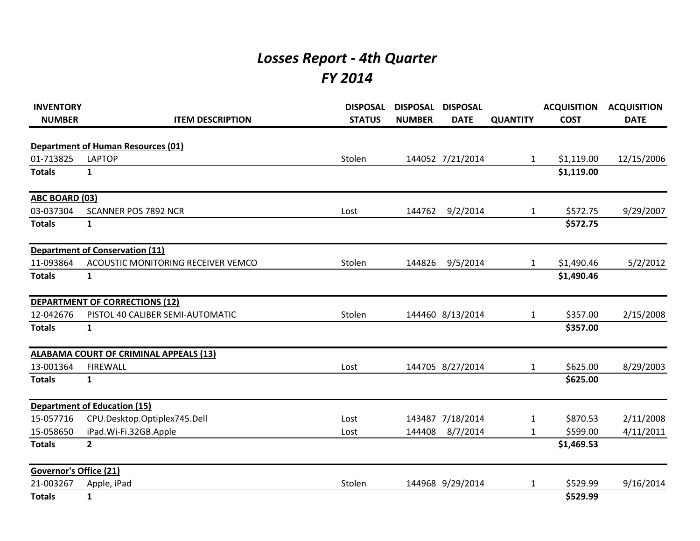## *Losses Report - 4th Quarter FY 2014*

| <b>INVENTORY</b><br><b>NUMBER</b> | <b>ITEM DESCRIPTION</b>                   | <b>DISPOSAL</b><br><b>STATUS</b> | <b>DISPOSAL</b><br><b>NUMBER</b> | <b>DISPOSAL</b><br><b>DATE</b> | <b>QUANTITY</b> | <b>ACQUISITION</b><br><b>COST</b> | <b>ACQUISITION</b><br><b>DATE</b> |
|-----------------------------------|-------------------------------------------|----------------------------------|----------------------------------|--------------------------------|-----------------|-----------------------------------|-----------------------------------|
|                                   | <b>Department of Human Resources (01)</b> |                                  |                                  |                                |                 |                                   |                                   |
| 01-713825                         | <b>LAPTOP</b>                             | Stolen                           |                                  | 144052 7/21/2014               | $\mathbf{1}$    | \$1,119.00                        | 12/15/2006                        |
| <b>Totals</b>                     | $\mathbf{1}$                              |                                  |                                  |                                |                 | \$1,119.00                        |                                   |
| <b>ABC BOARD (03)</b>             |                                           |                                  |                                  |                                |                 |                                   |                                   |
| 03-037304                         | <b>SCANNER POS 7892 NCR</b>               | Lost                             | 144762                           | 9/2/2014                       | $\mathbf{1}$    | \$572.75                          | 9/29/2007                         |
| <b>Totals</b>                     | 1                                         |                                  |                                  |                                |                 | \$572.75                          |                                   |
|                                   | <b>Department of Conservation (11)</b>    |                                  |                                  |                                |                 |                                   |                                   |
| 11-093864                         | <b>ACOUSTIC MONITORING RECEIVER VEMCO</b> | Stolen                           | 144826                           | 9/5/2014                       | 1               | \$1,490.46                        | 5/2/2012                          |
| <b>Totals</b>                     | $\mathbf{1}$                              |                                  |                                  |                                |                 | \$1,490.46                        |                                   |
|                                   | <b>DEPARTMENT OF CORRECTIONS (12)</b>     |                                  |                                  |                                |                 |                                   |                                   |
| 12-042676                         | PISTOL 40 CALIBER SEMI-AUTOMATIC          | Stolen                           |                                  | 144460 8/13/2014               | $\mathbf{1}$    | \$357.00                          | 2/15/2008                         |
| <b>Totals</b>                     | $\mathbf{1}$                              |                                  |                                  |                                |                 | \$357.00                          |                                   |
|                                   | ALABAMA COURT OF CRIMINAL APPEALS (13)    |                                  |                                  |                                |                 |                                   |                                   |
| 13-001364                         | <b>FIREWALL</b>                           | Lost                             |                                  | 144705 8/27/2014               | $\mathbf{1}$    | \$625.00                          | 8/29/2003                         |
| <b>Totals</b>                     | $\mathbf{1}$                              |                                  |                                  |                                |                 | \$625.00                          |                                   |
|                                   | <b>Department of Education (15)</b>       |                                  |                                  |                                |                 |                                   |                                   |
| 15-057716                         | CPU.Desktop.Optiplex745.Dell              | Lost                             |                                  | 143487 7/18/2014               | 1               | \$870.53                          | 2/11/2008                         |
| 15-058650                         | iPad.Wi-Fi.32GB.Apple                     | Lost                             | 144408                           | 8/7/2014                       | 1               | \$599.00                          | 4/11/2011                         |
| <b>Totals</b>                     | $\overline{\mathbf{2}}$                   |                                  |                                  |                                |                 | \$1,469.53                        |                                   |
| <b>Governor's Office (21)</b>     |                                           |                                  |                                  |                                |                 |                                   |                                   |
| 21-003267                         | Apple, iPad                               | Stolen                           |                                  | 144968 9/29/2014               | 1               | \$529.99                          | 9/16/2014                         |
| <b>Totals</b>                     | 1                                         |                                  |                                  |                                |                 | \$529.99                          |                                   |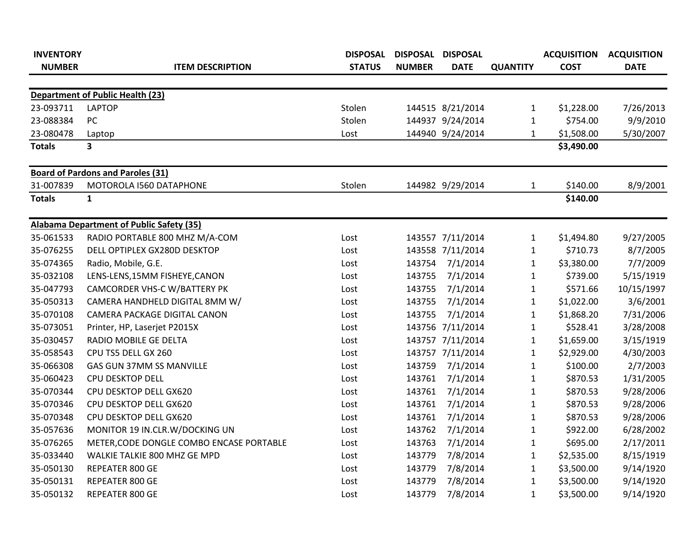| <b>INVENTORY</b> |                                                 | <b>DISPOSAL</b> | DISPOSAL DISPOSAL |                  |                 | <b>ACQUISITION</b> | <b>ACQUISITION</b> |
|------------------|-------------------------------------------------|-----------------|-------------------|------------------|-----------------|--------------------|--------------------|
| <b>NUMBER</b>    | <b>ITEM DESCRIPTION</b>                         | <b>STATUS</b>   | <b>NUMBER</b>     | <b>DATE</b>      | <b>QUANTITY</b> | <b>COST</b>        | <b>DATE</b>        |
|                  |                                                 |                 |                   |                  |                 |                    |                    |
|                  | <b>Department of Public Health (23)</b>         |                 |                   |                  |                 |                    |                    |
| 23-093711        | <b>LAPTOP</b>                                   | Stolen          |                   | 144515 8/21/2014 | $\mathbf{1}$    | \$1,228.00         | 7/26/2013          |
| 23-088384        | PC                                              | Stolen          |                   | 144937 9/24/2014 | $\mathbf{1}$    | \$754.00           | 9/9/2010           |
| 23-080478        | Laptop                                          | Lost            |                   | 144940 9/24/2014 | 1               | \$1,508.00         | 5/30/2007          |
| <b>Totals</b>    | 3                                               |                 |                   |                  |                 | \$3,490.00         |                    |
|                  | <b>Board of Pardons and Paroles (31)</b>        |                 |                   |                  |                 |                    |                    |
| 31-007839        | MOTOROLA I560 DATAPHONE                         | Stolen          |                   | 144982 9/29/2014 | 1               | \$140.00           | 8/9/2001           |
| <b>Totals</b>    | $\mathbf{1}$                                    |                 |                   |                  |                 | \$140.00           |                    |
|                  | <b>Alabama Department of Public Safety (35)</b> |                 |                   |                  |                 |                    |                    |
| 35-061533        | RADIO PORTABLE 800 MHZ M/A-COM                  | Lost            |                   | 143557 7/11/2014 | $\mathbf{1}$    | \$1,494.80         | 9/27/2005          |
| 35-076255        | DELL OPTIPLEX GX280D DESKTOP                    | Lost            |                   | 143558 7/11/2014 | $\mathbf{1}$    | \$710.73           | 8/7/2005           |
| 35-074365        | Radio, Mobile, G.E.                             | Lost            | 143754            | 7/1/2014         | 1               | \$3,380.00         | 7/7/2009           |
| 35-032108        | LENS-LENS, 15MM FISHEYE, CANON                  | Lost            | 143755            | 7/1/2014         | $\mathbf{1}$    | \$739.00           | 5/15/1919          |
| 35-047793        | CAMCORDER VHS-C W/BATTERY PK                    | Lost            | 143755            | 7/1/2014         | $\mathbf{1}$    | \$571.66           | 10/15/1997         |
| 35-050313        | CAMERA HANDHELD DIGITAL 8MM W/                  | Lost            | 143755            | 7/1/2014         | $\mathbf{1}$    | \$1,022.00         | 3/6/2001           |
| 35-070108        | CAMERA PACKAGE DIGITAL CANON                    | Lost            | 143755            | 7/1/2014         | $\mathbf{1}$    | \$1,868.20         | 7/31/2006          |
| 35-073051        | Printer, HP, Laserjet P2015X                    | Lost            |                   | 143756 7/11/2014 | $\mathbf{1}$    | \$528.41           | 3/28/2008          |
| 35-030457        | RADIO MOBILE GE DELTA                           | Lost            |                   | 143757 7/11/2014 | $\mathbf{1}$    | \$1,659.00         | 3/15/1919          |
| 35-058543        | CPU TS5 DELL GX 260                             | Lost            |                   | 143757 7/11/2014 | $\mathbf{1}$    | \$2,929.00         | 4/30/2003          |
| 35-066308        | GAS GUN 37MM SS MANVILLE                        | Lost            | 143759            | 7/1/2014         | $\mathbf{1}$    | \$100.00           | 2/7/2003           |
| 35-060423        | CPU DESKTOP DELL                                | Lost            | 143761            | 7/1/2014         | $\mathbf{1}$    | \$870.53           | 1/31/2005          |
| 35-070344        | CPU DESKTOP DELL GX620                          | Lost            | 143761            | 7/1/2014         | $\mathbf{1}$    | \$870.53           | 9/28/2006          |
| 35-070346        | CPU DESKTOP DELL GX620                          | Lost            | 143761            | 7/1/2014         | $\mathbf{1}$    | \$870.53           | 9/28/2006          |
| 35-070348        | CPU DESKTOP DELL GX620                          | Lost            | 143761            | 7/1/2014         | $\mathbf{1}$    | \$870.53           | 9/28/2006          |
| 35-057636        | MONITOR 19 IN.CLR.W/DOCKING UN                  | Lost            | 143762            | 7/1/2014         | $\mathbf{1}$    | \$922.00           | 6/28/2002          |
| 35-076265        | METER, CODE DONGLE COMBO ENCASE PORTABLE        | Lost            | 143763            | 7/1/2014         | $\mathbf{1}$    | \$695.00           | 2/17/2011          |
| 35-033440        | WALKIE TALKIE 800 MHZ GE MPD                    | Lost            | 143779            | 7/8/2014         | $\mathbf{1}$    | \$2,535.00         | 8/15/1919          |
| 35-050130        | REPEATER 800 GE                                 | Lost            | 143779            | 7/8/2014         | $\mathbf{1}$    | \$3,500.00         | 9/14/1920          |
| 35-050131        | REPEATER 800 GE                                 | Lost            | 143779            | 7/8/2014         | 1               | \$3,500.00         | 9/14/1920          |
| 35-050132        | REPEATER 800 GE                                 | Lost            | 143779            | 7/8/2014         | $\mathbf{1}$    | \$3,500.00         | 9/14/1920          |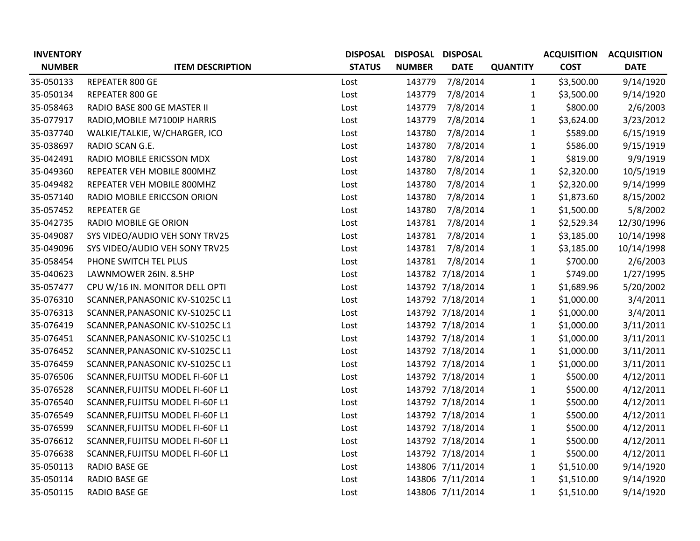| <b>INVENTORY</b> |                                  | <b>DISPOSAL</b> | DISPOSAL DISPOSAL |                  |                 | <b>ACQUISITION</b> | <b>ACQUISITION</b> |
|------------------|----------------------------------|-----------------|-------------------|------------------|-----------------|--------------------|--------------------|
| <b>NUMBER</b>    | <b>ITEM DESCRIPTION</b>          | <b>STATUS</b>   | <b>NUMBER</b>     | <b>DATE</b>      | <b>QUANTITY</b> | <b>COST</b>        | <b>DATE</b>        |
| 35-050133        | REPEATER 800 GE                  | Lost            | 143779            | 7/8/2014         | $\mathbf{1}$    | \$3,500.00         | 9/14/1920          |
| 35-050134        | REPEATER 800 GE                  | Lost            | 143779            | 7/8/2014         | $\mathbf{1}$    | \$3,500.00         | 9/14/1920          |
| 35-058463        | RADIO BASE 800 GE MASTER II      | Lost            | 143779            | 7/8/2014         | $\mathbf{1}$    | \$800.00           | 2/6/2003           |
| 35-077917        | RADIO, MOBILE M7100IP HARRIS     | Lost            | 143779            | 7/8/2014         | $\mathbf{1}$    | \$3,624.00         | 3/23/2012          |
| 35-037740        | WALKIE/TALKIE, W/CHARGER, ICO    | Lost            | 143780            | 7/8/2014         | $\mathbf{1}$    | \$589.00           | 6/15/1919          |
| 35-038697        | RADIO SCAN G.E.                  | Lost            | 143780            | 7/8/2014         | $\mathbf{1}$    | \$586.00           | 9/15/1919          |
| 35-042491        | RADIO MOBILE ERICSSON MDX        | Lost            | 143780            | 7/8/2014         | $\mathbf{1}$    | \$819.00           | 9/9/1919           |
| 35-049360        | REPEATER VEH MOBILE 800MHZ       | Lost            | 143780            | 7/8/2014         | $\mathbf{1}$    | \$2,320.00         | 10/5/1919          |
| 35-049482        | REPEATER VEH MOBILE 800MHZ       | Lost            | 143780            | 7/8/2014         | $\mathbf{1}$    | \$2,320.00         | 9/14/1999          |
| 35-057140        | RADIO MOBILE ERICCSON ORION      | Lost            | 143780            | 7/8/2014         | $\mathbf{1}$    | \$1,873.60         | 8/15/2002          |
| 35-057452        | <b>REPEATER GE</b>               | Lost            | 143780            | 7/8/2014         | $\mathbf 1$     | \$1,500.00         | 5/8/2002           |
| 35-042735        | RADIO MOBILE GE ORION            | Lost            | 143781            | 7/8/2014         | $\mathbf{1}$    | \$2,529.34         | 12/30/1996         |
| 35-049087        | SYS VIDEO/AUDIO VEH SONY TRV25   | Lost            | 143781            | 7/8/2014         | $\mathbf{1}$    | \$3,185.00         | 10/14/1998         |
| 35-049096        | SYS VIDEO/AUDIO VEH SONY TRV25   | Lost            | 143781            | 7/8/2014         | $\mathbf{1}$    | \$3,185.00         | 10/14/1998         |
| 35-058454        | PHONE SWITCH TEL PLUS            | Lost            | 143781            | 7/8/2014         | $\mathbf{1}$    | \$700.00           | 2/6/2003           |
| 35-040623        | LAWNMOWER 26IN. 8.5HP            | Lost            |                   | 143782 7/18/2014 | $\mathbf{1}$    | \$749.00           | 1/27/1995          |
| 35-057477        | CPU W/16 IN. MONITOR DELL OPTI   | Lost            |                   | 143792 7/18/2014 | $\mathbf 1$     | \$1,689.96         | 5/20/2002          |
| 35-076310        | SCANNER, PANASONIC KV-S1025C L1  | Lost            |                   | 143792 7/18/2014 | $\mathbf{1}$    | \$1,000.00         | 3/4/2011           |
| 35-076313        | SCANNER, PANASONIC KV-S1025C L1  | Lost            |                   | 143792 7/18/2014 | $\mathbf{1}$    | \$1,000.00         | 3/4/2011           |
| 35-076419        | SCANNER, PANASONIC KV-S1025C L1  | Lost            |                   | 143792 7/18/2014 | 1               | \$1,000.00         | 3/11/2011          |
| 35-076451        | SCANNER, PANASONIC KV-S1025C L1  | Lost            |                   | 143792 7/18/2014 | $\mathbf{1}$    | \$1,000.00         | 3/11/2011          |
| 35-076452        | SCANNER, PANASONIC KV-S1025C L1  | Lost            |                   | 143792 7/18/2014 | $\mathbf{1}$    | \$1,000.00         | 3/11/2011          |
| 35-076459        | SCANNER, PANASONIC KV-S1025C L1  | Lost            |                   | 143792 7/18/2014 | $\mathbf{1}$    | \$1,000.00         | 3/11/2011          |
| 35-076506        | SCANNER, FUJITSU MODEL FI-60F L1 | Lost            |                   | 143792 7/18/2014 | $\mathbf{1}$    | \$500.00           | 4/12/2011          |
| 35-076528        | SCANNER, FUJITSU MODEL FI-60F L1 | Lost            |                   | 143792 7/18/2014 | $\mathbf{1}$    | \$500.00           | 4/12/2011          |
| 35-076540        | SCANNER, FUJITSU MODEL FI-60F L1 | Lost            |                   | 143792 7/18/2014 | $\mathbf{1}$    | \$500.00           | 4/12/2011          |
| 35-076549        | SCANNER, FUJITSU MODEL FI-60F L1 | Lost            |                   | 143792 7/18/2014 | $\mathbf{1}$    | \$500.00           | 4/12/2011          |
| 35-076599        | SCANNER, FUJITSU MODEL FI-60F L1 | Lost            |                   | 143792 7/18/2014 | $\mathbf{1}$    | \$500.00           | 4/12/2011          |
| 35-076612        | SCANNER, FUJITSU MODEL FI-60F L1 | Lost            |                   | 143792 7/18/2014 | $\mathbf{1}$    | \$500.00           | 4/12/2011          |
| 35-076638        | SCANNER, FUJITSU MODEL FI-60F L1 | Lost            |                   | 143792 7/18/2014 | $\mathbf{1}$    | \$500.00           | 4/12/2011          |
| 35-050113        | RADIO BASE GE                    | Lost            |                   | 143806 7/11/2014 | $\mathbf{1}$    | \$1,510.00         | 9/14/1920          |
| 35-050114        | RADIO BASE GE                    | Lost            |                   | 143806 7/11/2014 | $\mathbf{1}$    | \$1,510.00         | 9/14/1920          |
| 35-050115        | <b>RADIO BASE GE</b>             | Lost            |                   | 143806 7/11/2014 | 1               | \$1,510.00         | 9/14/1920          |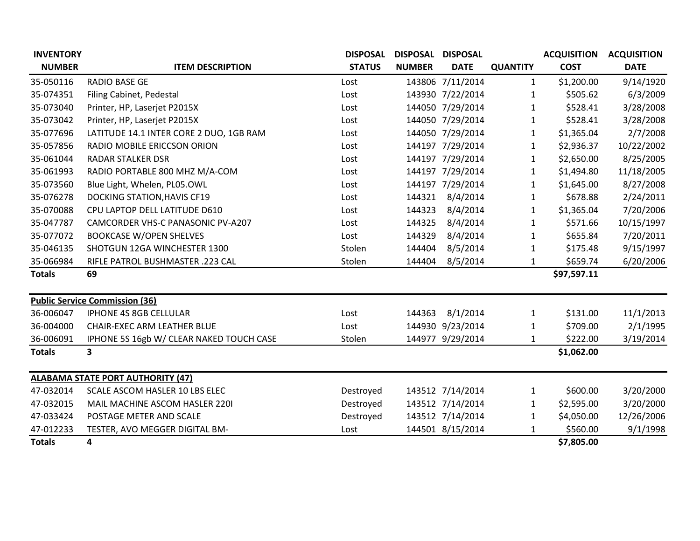| <b>INVENTORY</b> |                                          | <b>DISPOSAL</b> | DISPOSAL DISPOSAL |                  |                 | <b>ACQUISITION</b> | <b>ACQUISITION</b> |
|------------------|------------------------------------------|-----------------|-------------------|------------------|-----------------|--------------------|--------------------|
| <b>NUMBER</b>    | <b>ITEM DESCRIPTION</b>                  | <b>STATUS</b>   | <b>NUMBER</b>     | <b>DATE</b>      | <b>QUANTITY</b> | <b>COST</b>        | <b>DATE</b>        |
| 35-050116        | <b>RADIO BASE GE</b>                     | Lost            |                   | 143806 7/11/2014 | 1               | \$1,200.00         | 9/14/1920          |
| 35-074351        | Filing Cabinet, Pedestal                 | Lost            |                   | 143930 7/22/2014 | 1               | \$505.62           | 6/3/2009           |
| 35-073040        | Printer, HP, Laserjet P2015X             | Lost            |                   | 144050 7/29/2014 | 1               | \$528.41           | 3/28/2008          |
| 35-073042        | Printer, HP, Laserjet P2015X             | Lost            |                   | 144050 7/29/2014 | $\mathbf{1}$    | \$528.41           | 3/28/2008          |
| 35-077696        | LATITUDE 14.1 INTER CORE 2 DUO, 1GB RAM  | Lost            |                   | 144050 7/29/2014 | 1               | \$1,365.04         | 2/7/2008           |
| 35-057856        | RADIO MOBILE ERICCSON ORION              | Lost            |                   | 144197 7/29/2014 | 1               | \$2,936.37         | 10/22/2002         |
| 35-061044        | <b>RADAR STALKER DSR</b>                 | Lost            |                   | 144197 7/29/2014 | 1               | \$2,650.00         | 8/25/2005          |
| 35-061993        | RADIO PORTABLE 800 MHZ M/A-COM           | Lost            |                   | 144197 7/29/2014 | 1               | \$1,494.80         | 11/18/2005         |
| 35-073560        | Blue Light, Whelen, PL05.OWL             | Lost            |                   | 144197 7/29/2014 | 1               | \$1,645.00         | 8/27/2008          |
| 35-076278        | <b>DOCKING STATION, HAVIS CF19</b>       | Lost            | 144321            | 8/4/2014         | 1               | \$678.88           | 2/24/2011          |
| 35-070088        | CPU LAPTOP DELL LATITUDE D610            | Lost            | 144323            | 8/4/2014         | 1               | \$1,365.04         | 7/20/2006          |
| 35-047787        | CAMCORDER VHS-C PANASONIC PV-A207        | Lost            | 144325            | 8/4/2014         | 1               | \$571.66           | 10/15/1997         |
| 35-077072        | <b>BOOKCASE W/OPEN SHELVES</b>           | Lost            | 144329            | 8/4/2014         | 1               | \$655.84           | 7/20/2011          |
| 35-046135        | SHOTGUN 12GA WINCHESTER 1300             | Stolen          | 144404            | 8/5/2014         | 1               | \$175.48           | 9/15/1997          |
| 35-066984        | RIFLE PATROL BUSHMASTER .223 CAL         | Stolen          | 144404            | 8/5/2014         | 1               | \$659.74           | 6/20/2006          |
| <b>Totals</b>    | 69                                       |                 |                   |                  |                 | \$97,597.11        |                    |
|                  | <b>Public Service Commission (36)</b>    |                 |                   |                  |                 |                    |                    |
| 36-006047        | IPHONE 4S 8GB CELLULAR                   | Lost            | 144363            | 8/1/2014         | 1               | \$131.00           | 11/1/2013          |
| 36-004000        | CHAIR-EXEC ARM LEATHER BLUE              | Lost            |                   | 144930 9/23/2014 | 1               | \$709.00           | 2/1/1995           |
| 36-006091        | IPHONE 5S 16gb W/ CLEAR NAKED TOUCH CASE | Stolen          |                   | 144977 9/29/2014 | 1               | \$222.00           | 3/19/2014          |
| <b>Totals</b>    | 3                                        |                 |                   |                  |                 | \$1,062.00         |                    |
|                  | <b>ALABAMA STATE PORT AUTHORITY (47)</b> |                 |                   |                  |                 |                    |                    |
| 47-032014        | SCALE ASCOM HASLER 10 LBS ELEC           | Destroyed       |                   | 143512 7/14/2014 | $\mathbf{1}$    | \$600.00           | 3/20/2000          |
| 47-032015        | MAIL MACHINE ASCOM HASLER 2201           | Destroyed       |                   | 143512 7/14/2014 | 1               | \$2,595.00         | 3/20/2000          |
| 47-033424        | POSTAGE METER AND SCALE                  | Destroyed       |                   | 143512 7/14/2014 | 1               | \$4,050.00         | 12/26/2006         |
| 47-012233        | TESTER, AVO MEGGER DIGITAL BM-           | Lost            |                   | 144501 8/15/2014 | 1               | \$560.00           | 9/1/1998           |
| <b>Totals</b>    | 4                                        |                 |                   |                  |                 | \$7,805.00         |                    |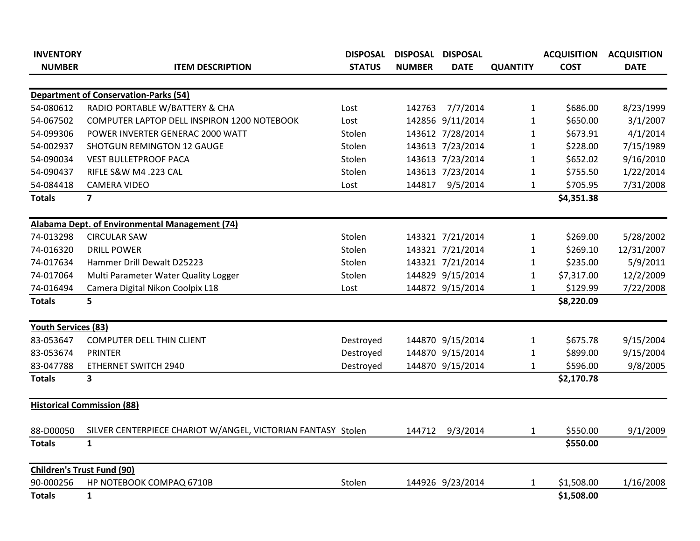| <b>INVENTORY</b>                  |                                                              | <b>DISPOSAL</b> | <b>DISPOSAL</b> | <b>DISPOSAL</b>  |                 | <b>ACQUISITION</b> | <b>ACQUISITION</b> |
|-----------------------------------|--------------------------------------------------------------|-----------------|-----------------|------------------|-----------------|--------------------|--------------------|
| <b>NUMBER</b>                     | <b>ITEM DESCRIPTION</b>                                      | <b>STATUS</b>   | <b>NUMBER</b>   | <b>DATE</b>      | <b>QUANTITY</b> | <b>COST</b>        | <b>DATE</b>        |
|                                   |                                                              |                 |                 |                  |                 |                    |                    |
|                                   | <b>Department of Conservation-Parks (54)</b>                 |                 |                 |                  |                 |                    |                    |
| 54-080612                         | RADIO PORTABLE W/BATTERY & CHA                               | Lost            |                 | 142763 7/7/2014  | $\mathbf{1}$    | \$686.00           | 8/23/1999          |
| 54-067502                         | COMPUTER LAPTOP DELL INSPIRON 1200 NOTEBOOK                  | Lost            |                 | 142856 9/11/2014 | $\mathbf{1}$    | \$650.00           | 3/1/2007           |
| 54-099306                         | POWER INVERTER GENERAC 2000 WATT                             | Stolen          |                 | 143612 7/28/2014 | 1               | \$673.91           | 4/1/2014           |
| 54-002937                         | <b>SHOTGUN REMINGTON 12 GAUGE</b>                            | Stolen          |                 | 143613 7/23/2014 | 1               | \$228.00           | 7/15/1989          |
| 54-090034                         | <b>VEST BULLETPROOF PACA</b>                                 | Stolen          |                 | 143613 7/23/2014 | $\mathbf{1}$    | \$652.02           | 9/16/2010          |
| 54-090437                         | RIFLE S&W M4 .223 CAL                                        | Stolen          |                 | 143613 7/23/2014 | $\mathbf{1}$    | \$755.50           | 1/22/2014          |
| 54-084418                         | <b>CAMERA VIDEO</b>                                          | Lost            | 144817          | 9/5/2014         | 1               | \$705.95           | 7/31/2008          |
| <b>Totals</b>                     | $\overline{7}$                                               |                 |                 |                  |                 | \$4,351.38         |                    |
|                                   | Alabama Dept. of Environmental Management (74)               |                 |                 |                  |                 |                    |                    |
| 74-013298                         | <b>CIRCULAR SAW</b>                                          | Stolen          |                 | 143321 7/21/2014 | $\mathbf{1}$    | \$269.00           | 5/28/2002          |
| 74-016320                         | <b>DRILL POWER</b>                                           | Stolen          |                 | 143321 7/21/2014 | $\mathbf{1}$    | \$269.10           | 12/31/2007         |
| 74-017634                         | Hammer Drill Dewalt D25223                                   | Stolen          |                 | 143321 7/21/2014 | 1               | \$235.00           | 5/9/2011           |
| 74-017064                         | Multi Parameter Water Quality Logger                         | Stolen          |                 | 144829 9/15/2014 | 1               | \$7,317.00         | 12/2/2009          |
| 74-016494                         | Camera Digital Nikon Coolpix L18                             | Lost            |                 | 144872 9/15/2014 | 1               | \$129.99           | 7/22/2008          |
| <b>Totals</b>                     | 5                                                            |                 |                 |                  |                 | \$8,220.09         |                    |
| <b>Youth Services (83)</b>        |                                                              |                 |                 |                  |                 |                    |                    |
| 83-053647                         | <b>COMPUTER DELL THIN CLIENT</b>                             | Destroyed       |                 | 144870 9/15/2014 | $\mathbf{1}$    | \$675.78           | 9/15/2004          |
| 83-053674                         | <b>PRINTER</b>                                               | Destroyed       |                 | 144870 9/15/2014 | 1               | \$899.00           | 9/15/2004          |
| 83-047788                         | ETHERNET SWITCH 2940                                         | Destroyed       |                 | 144870 9/15/2014 | 1               | \$596.00           | 9/8/2005           |
| <b>Totals</b>                     | 3                                                            |                 |                 |                  |                 | \$2,170.78         |                    |
|                                   | <b>Historical Commission (88)</b>                            |                 |                 |                  |                 |                    |                    |
| 88-D00050                         | SILVER CENTERPIECE CHARIOT W/ANGEL, VICTORIAN FANTASY Stolen |                 | 144712          | 9/3/2014         | $\mathbf{1}$    | \$550.00           | 9/1/2009           |
| <b>Totals</b>                     | $\mathbf{1}$                                                 |                 |                 |                  |                 | \$550.00           |                    |
| <b>Children's Trust Fund (90)</b> |                                                              |                 |                 |                  |                 |                    |                    |
| 90-000256                         | HP NOTEBOOK COMPAQ 6710B                                     | Stolen          |                 | 144926 9/23/2014 | 1               | \$1,508.00         | 1/16/2008          |
| <b>Totals</b>                     | $\mathbf{1}$                                                 |                 |                 |                  |                 | \$1,508.00         |                    |